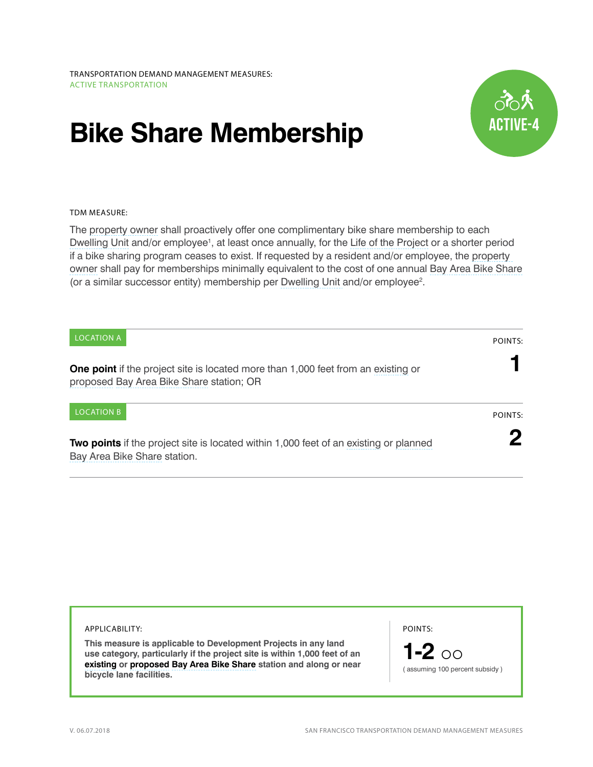## **Bike Share Membership**



## TDM MEASURE:

The [property owner](http://library.amlegal.com/nxt/gateway.dll/California/planning/article15off-streetparkingandloading?f=templates$fn=default.htm$3.0$vid=amlegal:sanfrancisco_ca$anc=JD_166) shall proactively offer one complimentary bike share membership to each [Dwelling Unit](http://library.amlegal.com/nxt/gateway.dll/California/planning/article1generalzoningprovisions?f=templates$fn=default.htm$3.0$vid=amlegal:sanfrancisco_ca$anc=JD_Article1) and/or employee<sup>1</sup>, at least once annually, for the [Life of the Project](http://library.amlegal.com/nxt/gateway.dll/California/planning/article4developmentimpactfeesandprojectr?f=templates$fn=default.htm$3.0$vid=amlegal:sanfrancisco_ca$anc=JD_401) or a shorter period if a bike sharing program ceases to exist. If requested by a resident and/or employee, the [property](http://library.amlegal.com/nxt/gateway.dll/California/planning/article15off-streetparkingandloading?f=templates$fn=default.htm$3.0$vid=amlegal:sanfrancisco_ca$anc=JD_166)  [owner](http://library.amlegal.com/nxt/gateway.dll/California/planning/article15off-streetparkingandloading?f=templates$fn=default.htm$3.0$vid=amlegal:sanfrancisco_ca$anc=JD_166) shall pay for memberships minimally equivalent to the cost of one annual [Bay Area Bike Share](http://www.bayareabikeshare.com/) (or a similar successor entity) membership per [Dwelling Unit](http://library.amlegal.com/nxt/gateway.dll/California/planning/article1generalzoningprovisions?f=templates$fn=default.htm$3.0$vid=amlegal:sanfrancisco_ca$anc=JD_Article1) and/or employee<sup>2</sup>.

| <b>LOCATION A</b>                                                                                                                    | POINTS: |
|--------------------------------------------------------------------------------------------------------------------------------------|---------|
| <b>One point</b> if the project site is located more than 1,000 feet from an existing or<br>proposed Bay Area Bike Share station; OR |         |
| <b>LOCATION B</b>                                                                                                                    | POINTS: |
| <b>Two points</b> if the project site is located within 1,000 feet of an existing or planned<br>Bay Area Bike Share station.         |         |

| APPLICABILITY:                                                                                                                                                                                                    | POINTS:                                      |
|-------------------------------------------------------------------------------------------------------------------------------------------------------------------------------------------------------------------|----------------------------------------------|
| This measure is applicable to Development Projects in any land<br>use category, particularly if the project site is within 1,000 feet of an<br>existing or proposed Bay Area Bike Share station and along or near | 1-2 $\circ$<br>assuming 100 percent subsidy) |
| bicycle lane facilities.                                                                                                                                                                                          |                                              |